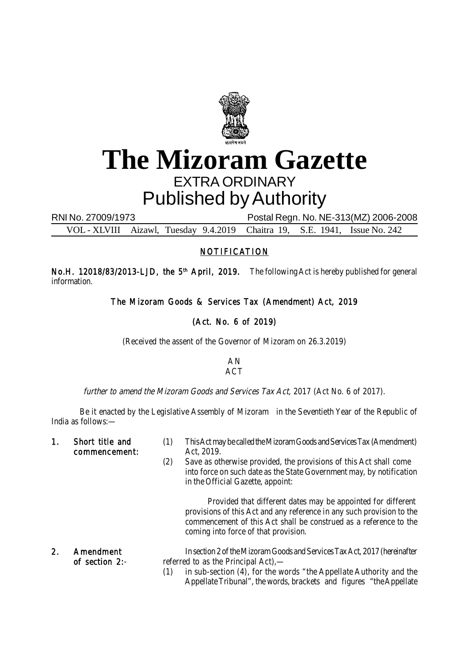

# **The Mizoram Gazette** EXTRA ORDINARY Published by Authority

RNI No. 27009/1973 Postal Regn. No. NE-313(MZ) 2006-2008

VOL - XLVIII Aizawl, Tuesday 9.4.2019 Chaitra 19, S.E. 1941, Issue No. 242

#### NOTIFICATION

No.H. 12018/83/2013-LJD, the 5<sup>th</sup> April, 2019. The following Act is hereby published for general information.

The Mizoram Goods & Services Tax (Amendment) Act, 2019

### (Act. No. 6 of 2019)

(Received the assent of the Governor of Mizoram on 26.3.2019)

#### AN ACT

further to amend the Mizoram Goods and Services Tax Act, 2017 (Act No. 6 of 2017).

Be it enacted by the Legislative Assembly of Mizoram in the Seventieth Year of the Republic of India as follows:—

commencement: Act, 2019.

- 1. Short title and (1) This Act may be called the Mizoram Goods and Services Tax (Amendment)
	- (2) Save as otherwise provided, the provisions of this Act shall come into force on such date as the State Government may, by notification in the Official Gazette, appoint:

Provided that different dates may be appointed for different provisions of this Act and any reference in any such provision to the commencement of this Act shall be construed as a reference to the coming into force of that provision.

- 2. Amendment In section 2 of the Mizoram Goods and Services Tax Act, 2017 (hereinafter of section 2:- referred to as the Principal Act),—
	- (1) in sub-section (4), for the words "the Appellate Authority and the Appellate Tribunal", the words, brackets and figures "the Appellate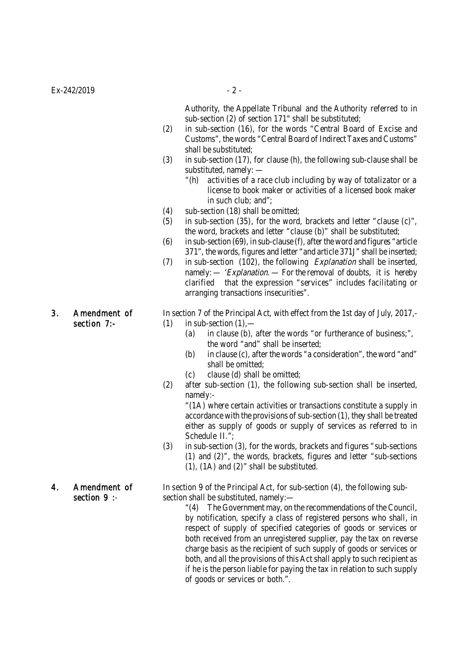Authority, the Appellate Tribunal and the Authority referred to in sub-section (2) of section 171" shall be substituted;

- (2) in sub-section (16), for the words "Central Board of Excise and Customs", the words "Central Board of Indirect Taxes and Customs" shall be substituted;
- (3) in sub-section (17), for clause (h), the following sub-clause shall be substituted, namely: —
	- "(h) activities of a race club including by way of totalizator or a license to book maker or activities of a licensed book maker in such club; and";
- (4) sub-section (18) shall be omitted;
- (5) in sub-section (35), for the word, brackets and letter "clause (c)", the word, brackets and letter "clause (b)" shall be substituted;
- (6) in sub-section (69), in sub-clause (f), after the word and figures "article 371", the words, figures and letter "and article 371J" shall be inserted;
- (7) in sub-section (102), the following *Explanation* shall be inserted, namely:  $-$  'Explanation.  $-$  For the removal of doubts, it is hereby clarified that the expression "services" includes facilitating or arranging transactions insecurities".

### 3. Amendment of In section 7 of the Principal Act, with effect from the 1st day of July, 2017,-

- section  $7:-$  (1) in sub-section  $(1)$ 
	- (a) in clause (b), after the words "or furtherance of business;", the word "and" shall be inserted;
	- (b) in clause (c), after the words "a consideration", the word "and" shall be omitted;
	- (c) clause (d) shall be omitted;
	- (2) after sub-section (1), the following sub-section shall be inserted, namely:-

"(1A) where certain activities or transactions constitute a supply in accordance with the provisions of sub-section (1), they shall be treated either as supply of goods or supply of services as referred to in Schedule II.";

(3) in sub-section (3), for the words, brackets and figures "sub-sections (1) and (2)", the words, brackets, figures and letter "sub-sections (1), (1A) and (2)" shall be substituted.

4. Amendment of In section 9 of the Principal Act, for sub-section (4), the following subsection 9 :- section shall be substituted, namely:—

> "(4) The Government may, on the recommendations of the Council, by notification, specify a class of registered persons who shall, in respect of supply of specified categories of goods or services or both received from an unregistered supplier, pay the tax on reverse charge basis as the recipient of such supply of goods or services or both, and all the provisions of this Act shall apply to such recipient as if he is the person liable for paying the tax in relation to such supply of goods or services or both.".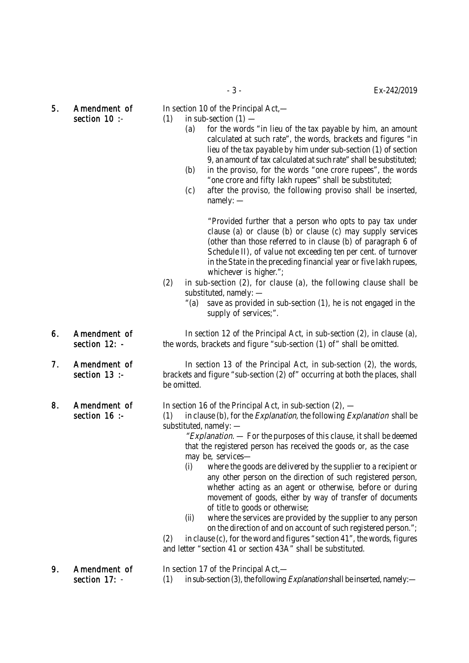5. Amendment of In section 10 of the Principal Act,—

- section 10 :-  $(1)$  in sub-section  $(1)$  (a) for the words "in lieu of the tax payable by him, an amount calculated at such rate", the words, brackets and figures "in lieu of the tax payable by him under sub-section (1) of section
	- 9, an amount of tax calculated at such rate" shall be substituted; (b) in the proviso, for the words "one crore rupees", the words "one crore and fifty lakh rupees" shall be substituted;
	- (c) after the proviso, the following proviso shall be inserted, namely: —

"Provided further that a person who opts to pay tax under clause (a) or clause (b) or clause (c) may supply services (other than those referred to in clause (b) of paragraph 6 of Schedule II), of value not exceeding ten per cent. of turnover in the State in the preceding financial year or five lakh rupees, whichever is higher.":

- (2) in sub-section (2), for clause (a), the following clause shall be substituted, namely: —
	- "(a) save as provided in sub-section (1), he is not engaged in the supply of services;".

6. Amendment of In section 12 of the Principal Act, in sub-section (2), in clause (a), section 12: - the words, brackets and figure "sub-section (1) of " shall be omitted.

7. Amendment of In section 13 of the Principal Act, in sub-section (2), the words, section 13 :- brackets and figure "sub-section (2) of " occurring at both the places, shall be omitted.

- 8. Amendment of In section 16 of the Principal Act, in sub-section (2),
	- section 16 :- (1) in clause (b), for the *Explanation*, the following *Explanation* shall be substituted, namely: —
		- "Explanation.  $-$  For the purposes of this clause, it shall be deemed that the registered person has received the goods or, as the case may be, services—
		- (i) where the goods are delivered by the supplier to a recipient or any other person on the direction of such registered person, whether acting as an agent or otherwise, before or during movement of goods, either by way of transfer of documents of title to goods or otherwise;
		- (ii) where the services are provided by the supplier to any person on the direction of and on account of such registered person.";

(2) in clause (c), for the word and figures "section 41", the words, figures and letter "section 41 or section 43A" shall be substituted.

9. Amendment of In section 17 of the Principal Act. section 17:  $-$  (1) in sub-section (3), the following *Explanation* shall be inserted, namely:

- 
- 
-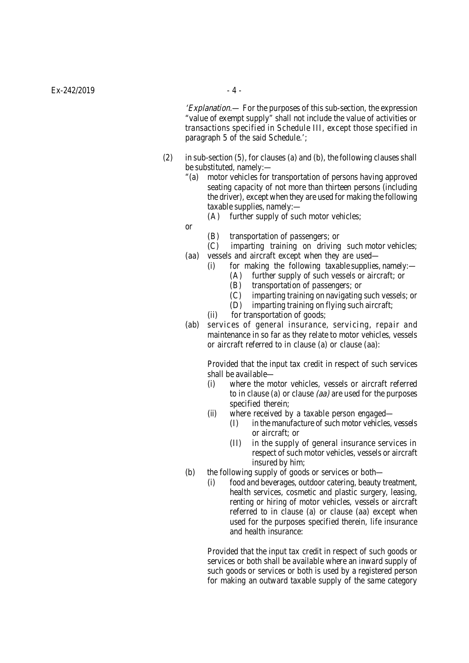'Explanation.— For the purposes of this sub-section, the expression "value of exempt supply" shall not include the value of activities or transactions specified in Schedule III, except those specified in paragraph 5 of the said Schedule.';

- (2) in sub-section (5), for clauses (a) and (b), the following clauses shall be substituted, namely:—
	- "(a) motor vehicles for transportation of persons having approved seating capacity of not more than thirteen persons (including the driver), except when they are used for making the following taxable supplies, namely:—
		- (A) further supply of such motor vehicles;
	- or
- (B) transportation of passengers; or
- (C) imparting training on driving such motor vehicles;
- (aa) vessels and aircraft except when they are used— (i) for making the following taxable supplies, namely:—
	-
	- (A) further supply of such vessels or aircraft; or  $(B)$  transportation of passengers: or transportation of passengers; or
	- (C) imparting training on navigating such vessels; or
	- (D) imparting training on flying such aircraft;
	- (ii) for transportation of goods;
- (ab) services of general insurance, servicing, repair and maintenance in so far as they relate to motor vehicles, vessels or aircraft referred to in clause (a) or clause (aa):

Provided that the input tax credit in respect of such services shall be available—

- (i) where the motor vehicles, vessels or aircraft referred to in clause (a) or clause (aa) are used for the purposes specified therein;
- (ii) where received by a taxable person engaged—
	- (I) in the manufacture of such motor vehicles, vessels or aircraft; or
	- (II) in the supply of general insurance services in respect of such motor vehicles, vessels or aircraft insured by him;
- (b) the following supply of goods or services or both—
	- (i) food and beverages, outdoor catering, beauty treatment, health services, cosmetic and plastic surgery, leasing, renting or hiring of motor vehicles, vessels or aircraft referred to in clause (a) or clause (aa) except when used for the purposes specified therein, life insurance and health insurance:

Provided that the input tax credit in respect of such goods or services or both shall be available where an inward supply of such goods or services or both is used by a registered person for making an outward taxable supply of the same category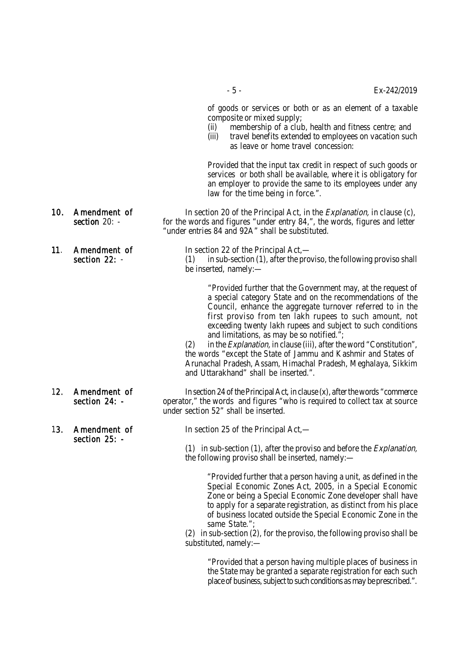of goods or services or both or as an element of a taxable composite or mixed supply;

- (ii) membership of a club, health and fitness centre; and
- (iii) travel benefits extended to employees on vacation such as leave or home travel concession:

Provided that the input tax credit in respect of such goods or services or both shall be available, where it is obligatory for an employer to provide the same to its employees under any law for the time being in force.".

- 10. Amendment of In section 20 of the Principal Act, in the *Explanation*, in clause (c),<br>section 20: for the words and figures "under entry 84.", the words, figures and letter for the words and figures "under entry 84,", the words, figures and letter "under entries 84 and 92A" shall be substituted.
- 11. **Amendment of In section 22 of the Principal Act,** section 22: - (1) in sub-section (1), after the proviso, the following proviso shall be inserted, namely:—

"Provided further that the Government may, at the request of a special category State and on the recommendations of the Council, enhance the aggregate turnover referred to in the first proviso from ten lakh rupees to such amount, not exceeding twenty lakh rupees and subject to such conditions and limitations, as may be so notified.";

(2) in the *Explanation*, in clause (iii), after the word "Constitution", the words "except the State of Jammu and Kashmir and States of Arunachal Pradesh, Assam, Himachal Pradesh, Meghalaya, Sikkim and Uttarakhand" shall be inserted.".

- 12. Amendment of In section 24 of the Principal Act, in clause (x), after the words "commerce<br>section 24: operator." the words and figures "who is required to collect tax at source operator," the words and figures "who is required to collect tax at source under section 52" shall be inserted.
- 13. Amendment of In section 25 of the Principal Act, section 25: -

(1) in sub-section (1), after the proviso and before the *Explanation*, the following proviso shall be inserted, namely:—

"Provided further that a person having a unit, as defined in the Special Economic Zones Act, 2005, in a Special Economic Zone or being a Special Economic Zone developer shall have to apply for a separate registration, as distinct from his place of business located outside the Special Economic Zone in the same State.";

(2) in sub-section (2), for the proviso, the following proviso shall be substituted, namely:—

"Provided that a person having multiple places of business in the State may be granted a separate registration for each such place of business, subject to such conditions as may be prescribed.".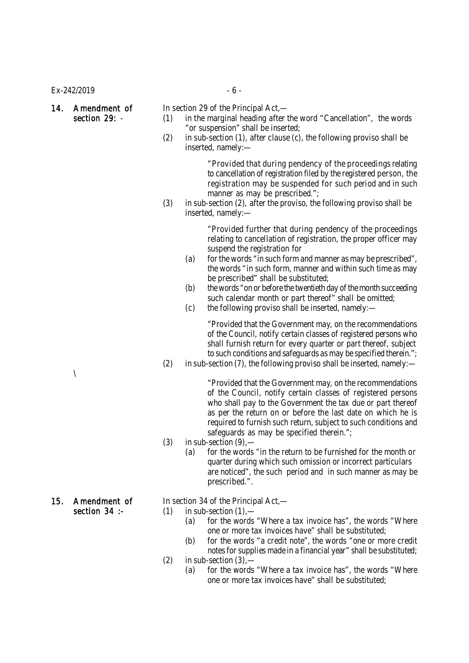$Ex - 242/2019$  - 6 -

- 14. Amendment of In section 29 of the Principal Act,—<br>section 29: (1) in the marginal heading after t  $(1)$  in the marginal heading after the word "Cancellation", the words "or suspension" shall be inserted;
	- (2) in sub-section (1), after clause (c), the following proviso shall be inserted, namely:—

"Provided that during pendency of the proceedings relating to cancellation of registration filed by the registered person, the registration may be suspended for such period and in such manner as may be prescribed.";

(3) in sub-section (2), after the proviso, the following proviso shall be inserted, namely:—

> "Provided further that during pendency of the proceedings relating to cancellation of registration, the proper officer may suspend the registration for

- (a) for the words "in such form and manner as may be prescribed", the words "in such form, manner and within such time as may be prescribed" shall be substituted;
- (b) the words "on or before the twentieth day of the month succeeding such calendar month or part thereof" shall be omitted;
- (c) the following proviso shall be inserted, namely:—

"Provided that the Government may, on the recommendations of the Council, notify certain classes of registered persons who shall furnish return for every quarter or part thereof, subject to such conditions and safeguards as may be specified therein.";

(2) in sub-section (7), the following proviso shall be inserted, namely:—

"Provided that the Government may, on the recommendations of the Council, notify certain classes of registered persons who shall pay to the Government the tax due or part thereof as per the return on or before the last date on which he is required to furnish such return, subject to such conditions and safeguards as may be specified therein.";

- $(3)$  in sub-section  $(9)$ ,
	- (a) for the words "in the return to be furnished for the month or quarter during which such omission or incorrect particulars are noticed", the such period and in such manner as may be prescribed.".

#### 15. Amendment of In section 34 of the Principal Act,—

section  $34$  :- (1) in sub-section  $(1)$ ,

- (a) for the words "Where a tax invoice has", the words "Where one or more tax invoices have" shall be substituted;
- (b) for the words "a credit note", the words "one or more credit notes for supplies made in a financial year" shall be substituted;
- $(2)$  in sub-section  $(3)$ 
	- (a) for the words "Where a tax invoice has", the words "Where one or more tax invoices have" shall be substituted;

 $\lambda$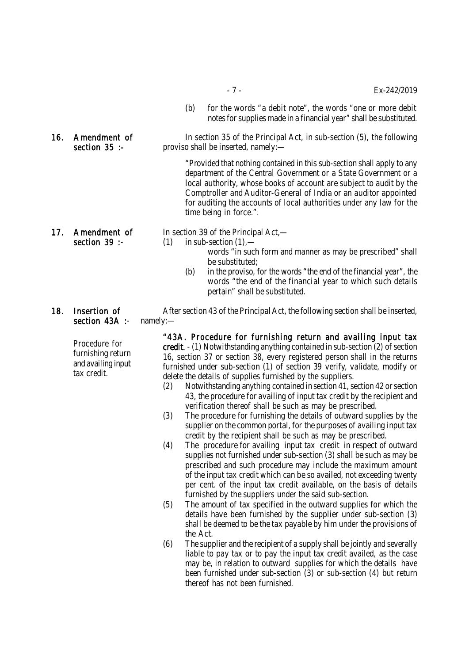- (b) for the words "a debit note", the words "one or more debit notes for supplies made in a financial year" shall be substituted.
- 16. Amendment of In section 35 of the Principal Act, in sub-section (5), the following section 35 :- proviso shall be inserted, namely:—

"Provided that nothing contained in this sub-section shall apply to any department of the Central Government or a State Government or a local authority, whose books of account are subject to audit by the Comptroller and Auditor-General of India or an auditor appointed for auditing the accounts of local authorities under any law for the time being in force.".

17. Amendment of In section 39 of the Principal Act,—

- section 39 :-  $(1)$  in sub-section  $(1)$ ,
	- words "in such form and manner as may be prescribed" shall be substituted;
	- (b) in the proviso, for the words "the end of the financial year", the words "the end of the financial year to which such details pertain" shall be substituted.
- section 43A :- namely:-

Procedure for furnishing return and availing input tax credit.

18. Insertion of After section 43 of the Principal Act, the following section shall be inserted,

"43A. Procedure for furnishing return and availing input tax credit. - (1) Notwithstanding anything contained in sub-section (2) of section 16, section 37 or section 38, every registered person shall in the returns furnished under sub-section (1) of section 39 verify, validate, modify or delete the details of supplies furnished by the suppliers.

- (2) Notwithstanding anything contained in section 41, section 42 or section 43, the procedure for availing of input tax credit by the recipient and verification thereof shall be such as may be prescribed.
- (3) The procedure for furnishing the details of outward supplies by the supplier on the common portal, for the purposes of availing input tax credit by the recipient shall be such as may be prescribed.
- (4) The procedure for availing input tax credit in respect of outward supplies not furnished under sub-section (3) shall be such as may be prescribed and such procedure may include the maximum amount of the input tax credit which can be so availed, not exceeding twenty per cent. of the input tax credit available, on the basis of details furnished by the suppliers under the said sub-section.
- (5) The amount of tax specified in the outward supplies for which the details have been furnished by the supplier under sub-section (3) shall be deemed to be the tax payable by him under the provisions of the Act.
- (6) The supplier and the recipient of a supply shall be jointly and severally liable to pay tax or to pay the input tax credit availed, as the case may be, in relation to outward supplies for which the details have been furnished under sub-section (3) or sub-section (4) but return thereof has not been furnished.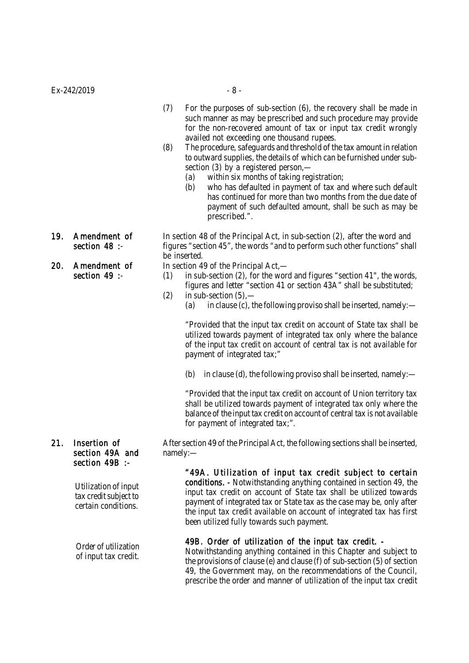- (7) For the purposes of sub-section (6), the recovery shall be made in such manner as may be prescribed and such procedure may provide for the non-recovered amount of tax or input tax credit wrongly availed not exceeding one thousand rupees.
- (8) The procedure, safeguards and threshold of the tax amount in relation to outward supplies, the details of which can be furnished under subsection (3) by a registered person,—
	- (a) within six months of taking registration;
	- (b) who has defaulted in payment of tax and where such default has continued for more than two months from the due date of payment of such defaulted amount, shall be such as may be prescribed.".
- 
- 20. Amendment of In section 49 of the Principal Act,—<br>section 49 :- (1) in sub-section (2), for the wor

19. Amendment of In section 48 of the Principal Act, in sub-section (2), after the word and<br>section 48 :- figures "section 45", the words "and to perform such other functions" sha figures "section 45", the words "and to perform such other functions" shall be inserted.

- $(1)$  in sub-section  $(2)$ , for the word and figures "section 41", the words, figures and letter "section 41 or section 43A" shall be substituted;
- $(2)$  in sub-section  $(5)$ ,
	- (a) in clause (c), the following proviso shall be inserted, namely:—

"Provided that the input tax credit on account of State tax shall be utilized towards payment of integrated tax only where the balance of the input tax credit on account of central tax is not available for payment of integrated tax;"

(b) in clause (d), the following proviso shall be inserted, namely:—

"Provided that the input tax credit on account of Union territory tax shall be utilized towards payment of integrated tax only where the balance of the input tax credit on account of central tax is not available for payment of integrated tax;".

21. Insertion of After section 49 of the Principal Act, the following sections shall be inserted,

"49A. Utilization of input tax credit subject to certain conditions. - Notwithstanding anything contained in section 49, the input tax credit on account of State tax shall be utilized towards payment of integrated tax or State tax as the case may be, only after the input tax credit available on account of integrated tax has first been utilized fully towards such payment.

#### 49B. Order of utilization of the input tax credit. -

Notwithstanding anything contained in this Chapter and subject to the provisions of clause (e) and clause (f) of sub-section (5) of section 49, the Government may, on the recommendations of the Council, prescribe the order and manner of utilization of the input tax credit

## section 49A and namely:section 49B :-

Utilization of input tax credit subject to certain conditions.

Order of utilization of input tax credit.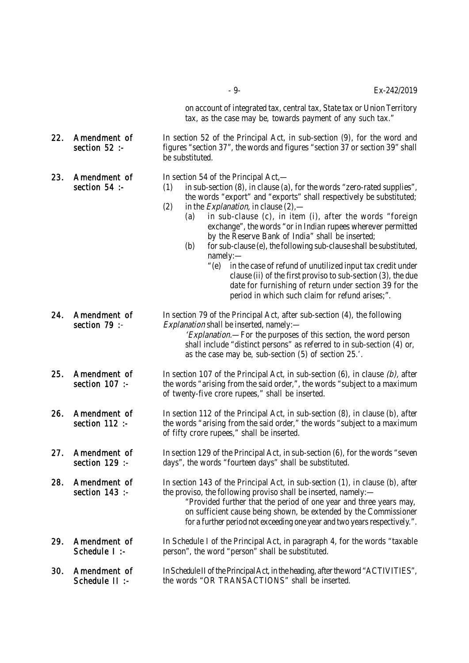- 9- Ex-242/2019

on account of integrated tax, central tax, State tax or Union Territory tax, as the case may be, towards payment of any such tax."

22. Amendment of In section 52 of the Principal Act, in sub-section (9), for the word and section 52 :- figures "section 37", the words and figures "section 37 or section 39" shall be substituted.

23. Amendment of In section 54 of the Principal Act,—<br>section 54 :- (1) in sub-section (8), in clause (a)

- $(1)$  in sub-section  $(8)$ , in clause  $(a)$ , for the words "zero-rated supplies", the words "export" and "exports" shall respectively be substituted;
- (2) in the *Explanation*, in clause  $(2)$ ,
	- (a) in sub-clause (c), in item (i), after the words "foreign exchange", the words "or in Indian rupees wherever permitted by the Reserve Bank of India" shall be inserted;
	- $(b)$  for sub-clause (e), the following sub-clause shall be substituted, namely:—
		- "(e) in the case of refund of unutilized input tax credit under clause (ii) of the first proviso to sub-section (3), the due date for furnishing of return under section 39 for the period in which such claim for refund arises;".
- 24. Amendment of In section 79 of the Principal Act, after sub-section (4), the following section 79 :- Explanation shall be inserted, namely: 'Explanation.—For the purposes of this section, the word person

shall include "distinct persons" as referred to in sub-section (4) or, as the case may be, sub-section (5) of section 25.'.

- 25. Amendment of In section 107 of the Principal Act, in sub-section (6), in clause  $(b)$ , after section 107: the words "arising from the said order,", the words "subject to a maximum of twenty-five crore rupees," shall be inserted.
- 26. Amendment of In section 112 of the Principal Act, in sub-section (8), in clause (b), after section 112 :- the words "arising from the said order," the words "subject to a maximum of fifty crore rupees," shall be inserted.
- 27. Amendment of In section 129 of the Principal Act, in sub-section (6), for the words "seven section 129 :- days", the words "fourteen days" shall be substituted. days", the words "fourteen days" shall be substituted.

28. Amendment of In section 143 of the Principal Act, in sub-section (1), in clause (b), after section 143 :- the proviso, the following proviso shall be inserted, namely: "Provided further that the period of one year and three years may,

- on sufficient cause being shown, be extended by the Commissioner for a further period not exceeding one year and two years respectively.".
- 29. Amendment of In Schedule I of the Principal Act, in paragraph 4, for the words "taxable Schedule I :- person", the word "person" shall be substituted.
- 30. Amendment of In Schedule II of the Principal Act, in the heading, after the word "ACTIVITIES", Schedule II :- the words "OR TRANSACTIONS" shall be inserted.